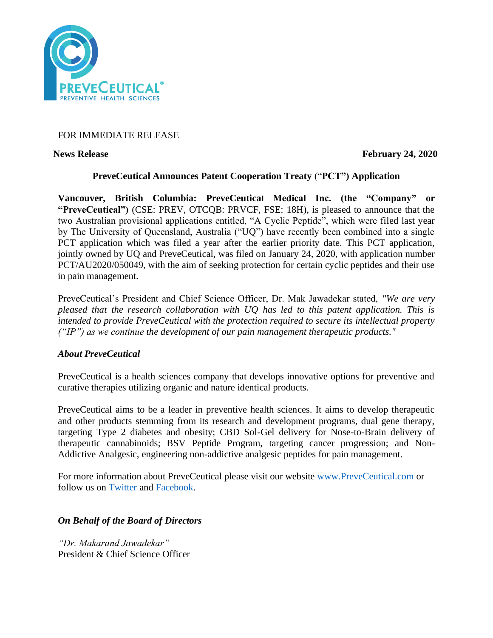

# FOR IMMEDIATE RELEASE

**News Release February 24, 2020** 

## **PreveCeutical Announces Patent Cooperation Treaty** ("**PCT") Application**

**Vancouver, British Columbia: PreveCeutical Medical Inc. (the "Company" or all Australian Columbia: PreveCeutical Medical Inc. (the "Company" "PreveCeutical")** (CSE: PREV, OTCQB: PRVCF, FSE: 18H), is pleased to announce that the two Australian provisional applications entitled, "A Cyclic Peptide", which were filed last year by The University of Queensland, Australia ("UQ") have recently been combined into a single PCT application which was filed a year after the earlier priority date. This PCT application, jointly owned by UQ and PreveCeutical, was filed on January 24, 2020, with application number PCT/AU2020/050049, with the aim of seeking protection for certain cyclic peptides and their use in pain management.

PreveCeutical's President and Chief Science Officer, Dr. Mak Jawadekar stated, *"We are very pleased that the research collaboration with UQ has led to this patent application. This is intended to provide PreveCeutical with the protection required to secure its intellectual property ("IP") as we continue the development of our pain management therapeutic products."*

### *About PreveCeutical*

PreveCeutical is a health sciences company that develops innovative options for preventive and curative therapies utilizing organic and nature identical products.

PreveCeutical aims to be a leader in preventive health sciences. It aims to develop therapeutic and other products stemming from its research and development programs, dual gene therapy, targeting Type 2 diabetes and obesity; CBD Sol-Gel delivery for Nose-to-Brain delivery of therapeutic cannabinoids; BSV Peptide Program, targeting cancer progression; and Non-Addictive Analgesic, engineering non-addictive analgesic peptides for pain management.

For more information about PreveCeutical please visit our website [www.PreveCeutical.com](http://www.preveceutical.com/) or follow us on [Twitter](http://twitter.com/PreveCeuticals) and [Facebook.](http://www.facebook.com/PreveCeutical)

## *On Behalf of the Board of Directors*

*"Dr. Makarand Jawadekar"* President & Chief Science Officer